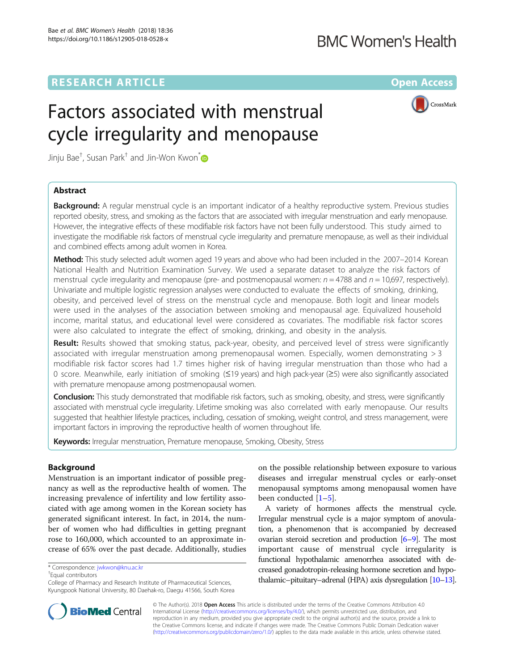## **BMC Women's Health**

## **RESEARCH ARTICLE Example 2014 12:30 The Contract of Contract ACCESS**

# Factors associated with menstrual cycle irregularity and menopause



Jinju Ba $\mathrm{e}^\dagger$ , Susan Park $^\dagger$  and Jin-Won Kwon $\mathrm^*$ 

## Abstract

Background: A regular menstrual cycle is an important indicator of a healthy reproductive system. Previous studies reported obesity, stress, and smoking as the factors that are associated with irregular menstruation and early menopause. However, the integrative effects of these modifiable risk factors have not been fully understood. This study aimed to investigate the modifiable risk factors of menstrual cycle irregularity and premature menopause, as well as their individual and combined effects among adult women in Korea.

Method: This study selected adult women aged 19 years and above who had been included in the 2007–2014 Korean National Health and Nutrition Examination Survey. We used a separate dataset to analyze the risk factors of menstrual cycle irregularity and menopause (pre- and postmenopausal women:  $n = 4788$  and  $n = 10,697$ , respectively). Univariate and multiple logistic regression analyses were conducted to evaluate the effects of smoking, drinking, obesity, and perceived level of stress on the menstrual cycle and menopause. Both logit and linear models were used in the analyses of the association between smoking and menopausal age. Equivalized household income, marital status, and educational level were considered as covariates. The modifiable risk factor scores were also calculated to integrate the effect of smoking, drinking, and obesity in the analysis.

Result: Results showed that smoking status, pack-year, obesity, and perceived level of stress were significantly associated with irregular menstruation among premenopausal women. Especially, women demonstrating > 3 modifiable risk factor scores had 1.7 times higher risk of having irregular menstruation than those who had a 0 score. Meanwhile, early initiation of smoking (≤19 years) and high pack-year (≥5) were also significantly associated with premature menopause among postmenopausal women.

**Conclusion:** This study demonstrated that modifiable risk factors, such as smoking, obesity, and stress, were significantly associated with menstrual cycle irregularity. Lifetime smoking was also correlated with early menopause. Our results suggested that healthier lifestyle practices, including, cessation of smoking, weight control, and stress management, were important factors in improving the reproductive health of women throughout life.

Keywords: Irregular menstruation, Premature menopause, Smoking, Obesity, Stress

### Background

Menstruation is an important indicator of possible pregnancy as well as the reproductive health of women. The increasing prevalence of infertility and low fertility associated with age among women in the Korean society has generated significant interest. In fact, in 2014, the number of women who had difficulties in getting pregnant rose to 160,000, which accounted to an approximate increase of 65% over the past decade. Additionally, studies

Equal contributors

on the possible relationship between exposure to various diseases and irregular menstrual cycles or early-onset menopausal symptoms among menopausal women have been conducted [[1](#page-9-0)–[5](#page-9-0)].

A variety of hormones affects the menstrual cycle. Irregular menstrual cycle is a major symptom of anovulation, a phenomenon that is accompanied by decreased ovarian steroid secretion and production  $[6-9]$  $[6-9]$  $[6-9]$ . The most important cause of menstrual cycle irregularity is functional hypothalamic amenorrhea associated with decreased gonadotropin-releasing hormone secretion and hypothalamic–pituitary–adrenal (HPA) axis dysregulation [\[10](#page-9-0)–[13\]](#page-9-0).



© The Author(s). 2018 Open Access This article is distributed under the terms of the Creative Commons Attribution 4.0 International License [\(http://creativecommons.org/licenses/by/4.0/](http://creativecommons.org/licenses/by/4.0/)), which permits unrestricted use, distribution, and reproduction in any medium, provided you give appropriate credit to the original author(s) and the source, provide a link to the Creative Commons license, and indicate if changes were made. The Creative Commons Public Domain Dedication waiver [\(http://creativecommons.org/publicdomain/zero/1.0/](http://creativecommons.org/publicdomain/zero/1.0/)) applies to the data made available in this article, unless otherwise stated.

<sup>\*</sup> Correspondence: [jwkwon@knu.ac.kr](mailto:jwkwon@knu.ac.kr) †

College of Pharmacy and Research Institute of Pharmaceutical Sciences, Kyungpook National University, 80 Daehak-ro, Daegu 41566, South Korea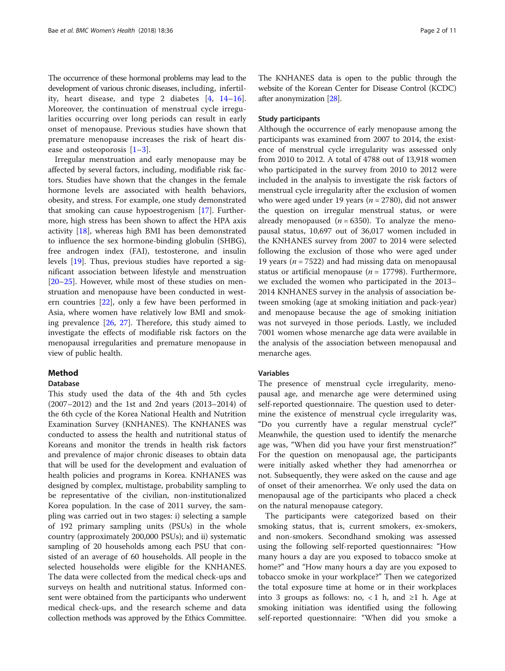The occurrence of these hormonal problems may lead to the development of various chronic diseases, including, infertility, heart disease, and type 2 diabetes [[4](#page-9-0), [14](#page-9-0)–[16](#page-9-0)]. Moreover, the continuation of menstrual cycle irregularities occurring over long periods can result in early onset of menopause. Previous studies have shown that premature menopause increases the risk of heart disease and osteoporosis [\[1](#page-9-0)–[3](#page-9-0)].

Irregular menstruation and early menopause may be affected by several factors, including, modifiable risk factors. Studies have shown that the changes in the female hormone levels are associated with health behaviors, obesity, and stress. For example, one study demonstrated that smoking can cause hypoestrogenism [\[17\]](#page-9-0). Furthermore, high stress has been shown to affect the HPA axis activity [\[18\]](#page-9-0), whereas high BMI has been demonstrated to influence the sex hormone-binding globulin (SHBG), free androgen index (FAI), testosterone, and insulin levels [[19](#page-9-0)]. Thus, previous studies have reported a significant association between lifestyle and menstruation [[20](#page-10-0)–[25](#page-10-0)]. However, while most of these studies on menstruation and menopause have been conducted in western countries [[22\]](#page-10-0), only a few have been performed in Asia, where women have relatively low BMI and smoking prevalence [[26,](#page-10-0) [27](#page-10-0)]. Therefore, this study aimed to investigate the effects of modifiable risk factors on the menopausal irregularities and premature menopause in view of public health.

#### Method

#### Database

This study used the data of the 4th and 5th cycles (2007–2012) and the 1st and 2nd years (2013–2014) of the 6th cycle of the Korea National Health and Nutrition Examination Survey (KNHANES). The KNHANES was conducted to assess the health and nutritional status of Koreans and monitor the trends in health risk factors and prevalence of major chronic diseases to obtain data that will be used for the development and evaluation of health policies and programs in Korea. KNHANES was designed by complex, multistage, probability sampling to be representative of the civilian, non-institutionalized Korea population. In the case of 2011 survey, the sampling was carried out in two stages: i) selecting a sample of 192 primary sampling units (PSUs) in the whole country (approximately 200,000 PSUs); and ii) systematic sampling of 20 households among each PSU that consisted of an average of 60 households. All people in the selected households were eligible for the KNHANES. The data were collected from the medical check-ups and surveys on health and nutritional status. Informed consent were obtained from the participants who underwent medical check-ups, and the research scheme and data collection methods was approved by the Ethics Committee.

The KNHANES data is open to the public through the website of the Korean Center for Disease Control (KCDC) after anonymization [[28](#page-10-0)].

#### Study participants

Although the occurrence of early menopause among the participants was examined from 2007 to 2014, the existence of menstrual cycle irregularity was assessed only from 2010 to 2012. A total of 4788 out of 13,918 women who participated in the survey from 2010 to 2012 were included in the analysis to investigate the risk factors of menstrual cycle irregularity after the exclusion of women who were aged under 19 years ( $n = 2780$ ), did not answer the question on irregular menstrual status, or were already menopaused ( $n = 6350$ ). To analyze the menopausal status, 10,697 out of 36,017 women included in the KNHANES survey from 2007 to 2014 were selected following the exclusion of those who were aged under 19 years ( $n = 7522$ ) and had missing data on menopausal status or artificial menopause ( $n = 17798$ ). Furthermore, we excluded the women who participated in the 2013– 2014 KNHANES survey in the analysis of association between smoking (age at smoking initiation and pack-year) and menopause because the age of smoking initiation was not surveyed in those periods. Lastly, we included 7001 women whose menarche age data were available in the analysis of the association between menopausal and menarche ages.

#### Variables

The presence of menstrual cycle irregularity, menopausal age, and menarche age were determined using self-reported questionnaire. The question used to determine the existence of menstrual cycle irregularity was, "Do you currently have a regular menstrual cycle?" Meanwhile, the question used to identify the menarche age was, "When did you have your first menstruation?" For the question on menopausal age, the participants were initially asked whether they had amenorrhea or not. Subsequently, they were asked on the cause and age of onset of their amenorrhea. We only used the data on menopausal age of the participants who placed a check on the natural menopause category.

The participants were categorized based on their smoking status, that is, current smokers, ex-smokers, and non-smokers. Secondhand smoking was assessed using the following self-reported questionnaires: "How many hours a day are you exposed to tobacco smoke at home?" and "How many hours a day are you exposed to tobacco smoke in your workplace?" Then we categorized the total exposure time at home or in their workplaces into 3 groups as follows: no,  $\langle 1 \rangle$  h, and  $\geq 1$  h. Age at smoking initiation was identified using the following self-reported questionnaire: "When did you smoke a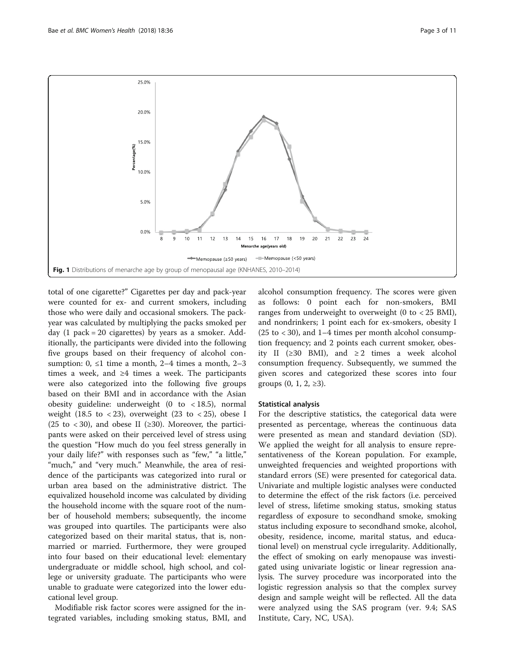<span id="page-2-0"></span>

total of one cigarette?" Cigarettes per day and pack-year were counted for ex- and current smokers, including those who were daily and occasional smokers. The packyear was calculated by multiplying the packs smoked per day  $(1$  pack = 20 cigarettes) by years as a smoker. Additionally, the participants were divided into the following five groups based on their frequency of alcohol consumption:  $0, \leq 1$  time a month, 2–4 times a month, 2–3 times a week, and  $\geq 4$  times a week. The participants were also categorized into the following five groups based on their BMI and in accordance with the Asian obesity guideline: underweight  $(0 \text{ to } < 18.5)$ , normal weight (18.5 to  $\langle 23 \rangle$ , overweight (23 to  $\langle 25 \rangle$ , obese I (25 to < 30), and obese II ( $\geq$ 30). Moreover, the participants were asked on their perceived level of stress using the question "How much do you feel stress generally in your daily life?" with responses such as "few," "a little," "much," and "very much." Meanwhile, the area of residence of the participants was categorized into rural or urban area based on the administrative district. The equivalized household income was calculated by dividing the household income with the square root of the number of household members; subsequently, the income was grouped into quartiles. The participants were also categorized based on their marital status, that is, nonmarried or married. Furthermore, they were grouped into four based on their educational level: elementary undergraduate or middle school, high school, and college or university graduate. The participants who were unable to graduate were categorized into the lower educational level group.

Modifiable risk factor scores were assigned for the integrated variables, including smoking status, BMI, and

alcohol consumption frequency. The scores were given as follows: 0 point each for non-smokers, BMI ranges from underweight to overweight  $(0 \text{ to } 25 \text{ BMI})$ , and nondrinkers; 1 point each for ex-smokers, obesity I  $(25 \text{ to } < 30)$ , and 1–4 times per month alcohol consumption frequency; and 2 points each current smoker, obesity II (≥30 BMI), and ≥2 times a week alcohol consumption frequency. Subsequently, we summed the given scores and categorized these scores into four groups  $(0, 1, 2, ≥3)$ .

#### Statistical analysis

For the descriptive statistics, the categorical data were presented as percentage, whereas the continuous data were presented as mean and standard deviation (SD). We applied the weight for all analysis to ensure representativeness of the Korean population. For example, unweighted frequencies and weighted proportions with standard errors (SE) were presented for categorical data. Univariate and multiple logistic analyses were conducted to determine the effect of the risk factors (i.e. perceived level of stress, lifetime smoking status, smoking status regardless of exposure to secondhand smoke, smoking status including exposure to secondhand smoke, alcohol, obesity, residence, income, marital status, and educational level) on menstrual cycle irregularity. Additionally, the effect of smoking on early menopause was investigated using univariate logistic or linear regression analysis. The survey procedure was incorporated into the logistic regression analysis so that the complex survey design and sample weight will be reflected. All the data were analyzed using the SAS program (ver. 9.4; SAS Institute, Cary, NC, USA).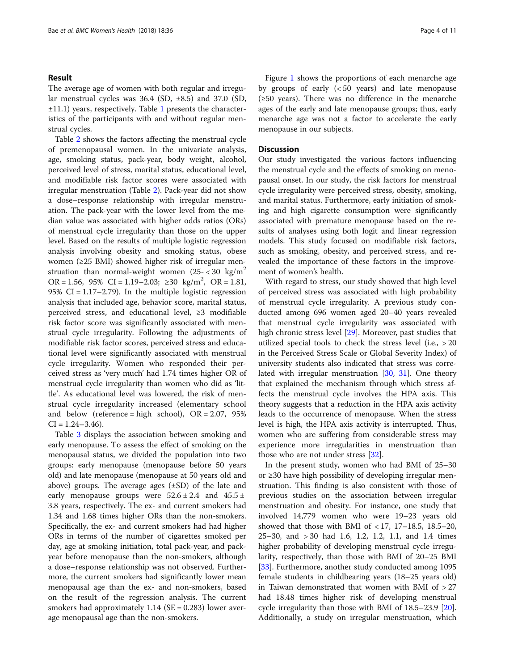#### Result

The average age of women with both regular and irregular menstrual cycles was  $36.4$  (SD,  $\pm 8.5$ ) and  $37.0$  (SD,  $\pm$ [1](#page-4-0)1.1) years, respectively. Table 1 presents the characteristics of the participants with and without regular menstrual cycles.

Table [2](#page-6-0) shows the factors affecting the menstrual cycle of premenopausal women. In the univariate analysis, age, smoking status, pack-year, body weight, alcohol, perceived level of stress, marital status, educational level, and modifiable risk factor scores were associated with irregular menstruation (Table [2\)](#page-6-0). Pack-year did not show a dose–response relationship with irregular menstruation. The pack-year with the lower level from the median value was associated with higher odds ratios (ORs) of menstrual cycle irregularity than those on the upper level. Based on the results of multiple logistic regression analysis involving obesity and smoking status, obese women (≥25 BMI) showed higher risk of irregular menstruation than normal-weight women  $(25 -  $30 \text{ kg/m}^2)$$ OR = 1.56, 95% CI = 1.19−2.03; ≥30 kg/m<sup>2</sup>, OR = 1.81, 95% CI =  $1.17-2.79$ ). In the multiple logistic regression analysis that included age, behavior score, marital status, perceived stress, and educational level,  $\geq$ 3 modifiable risk factor score was significantly associated with menstrual cycle irregularity. Following the adjustments of modifiable risk factor scores, perceived stress and educational level were significantly associated with menstrual cycle irregularity. Women who responded their perceived stress as 'very much' had 1.74 times higher OR of menstrual cycle irregularity than women who did as 'little'. As educational level was lowered, the risk of menstrual cycle irregularity increased (elementary school and below (reference = high school),  $OR = 2.07$ ,  $95\%$  $CI = 1.24 - 3.46$ .

Table [3](#page-8-0) displays the association between smoking and early menopause. To assess the effect of smoking on the menopausal status, we divided the population into two groups: early menopause (menopause before 50 years old) and late menopause (menopause at 50 years old and above) groups. The average ages (±SD) of the late and early menopause groups were  $52.6 \pm 2.4$  and  $45.5 \pm 1.5$ 3.8 years, respectively. The ex- and current smokers had 1.34 and 1.68 times higher ORs than the non-smokers. Specifically, the ex- and current smokers had had higher ORs in terms of the number of cigarettes smoked per day, age at smoking initiation, total pack-year, and packyear before menopause than the non-smokers, although a dose–response relationship was not observed. Furthermore, the current smokers had significantly lower mean menopausal age than the ex- and non-smokers, based on the result of the regression analysis. The current smokers had approximately  $1.14$  (SE = 0.283) lower average menopausal age than the non-smokers.

Figure [1](#page-2-0) shows the proportions of each menarche age by groups of early (< 50 years) and late menopause (≥50 years). There was no difference in the menarche ages of the early and late menopause groups; thus, early menarche age was not a factor to accelerate the early menopause in our subjects.

#### **Discussion**

Our study investigated the various factors influencing the menstrual cycle and the effects of smoking on menopausal onset. In our study, the risk factors for menstrual cycle irregularity were perceived stress, obesity, smoking, and marital status. Furthermore, early initiation of smoking and high cigarette consumption were significantly associated with premature menopause based on the results of analyses using both logit and linear regression models. This study focused on modifiable risk factors, such as smoking, obesity, and perceived stress, and revealed the importance of these factors in the improvement of women's health.

With regard to stress, our study showed that high level of perceived stress was associated with high probability of menstrual cycle irregularity. A previous study conducted among 696 women aged 20–40 years revealed that menstrual cycle irregularity was associated with high chronic stress level [\[29](#page-10-0)]. Moreover, past studies that utilized special tools to check the stress level (i.e., > 20 in the Perceived Stress Scale or Global Severity Index) of university students also indicated that stress was correlated with irregular menstruation [[30,](#page-10-0) [31](#page-10-0)]. One theory that explained the mechanism through which stress affects the menstrual cycle involves the HPA axis. This theory suggests that a reduction in the HPA axis activity leads to the occurrence of menopause. When the stress level is high, the HPA axis activity is interrupted. Thus, women who are suffering from considerable stress may experience more irregularities in menstruation than those who are not under stress [\[32](#page-10-0)].

In the present study, women who had BMI of 25–30 or ≥30 have high possibility of developing irregular menstruation. This finding is also consistent with those of previous studies on the association between irregular menstruation and obesity. For instance, one study that involved 14,779 women who were 19–23 years old showed that those with BMI of  $< 17$ , 17-18.5, 18.5-20, 25–30, and > 30 had 1.6, 1.2, 1.2, 1.1, and 1.4 times higher probability of developing menstrual cycle irregularity, respectively, than those with BMI of 20–25 BMI [[33\]](#page-10-0). Furthermore, another study conducted among 1095 female students in childbearing years (18–25 years old) in Taiwan demonstrated that women with BMI of  $>27$ had 18.48 times higher risk of developing menstrual cycle irregularity than those with BMI of 18.5–23.9 [\[20](#page-10-0)]. Additionally, a study on irregular menstruation, which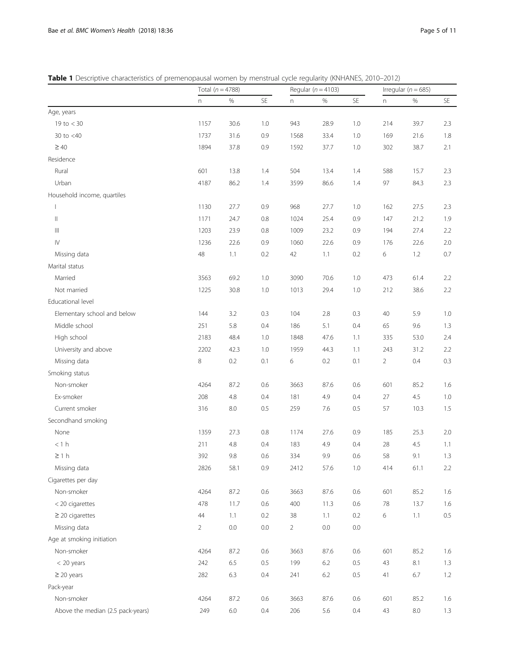<span id="page-4-0"></span>Table 1 Descriptive characteristics of premenopausal women by menstrual cycle regularity (KNHANES, 2010-2012)

|                                                                |                | Total $(n = 4788)$ |                      |                | Regular ( $n = 4103$ ) |         | Irregular ( $n = 685$ ) |         |         |
|----------------------------------------------------------------|----------------|--------------------|----------------------|----------------|------------------------|---------|-------------------------|---------|---------|
|                                                                | n              | $\%$               | $\mathsf{SE}\xspace$ | n.             | $\%$                   | SE      | n                       | %       | SE      |
| Age, years                                                     |                |                    |                      |                |                        |         |                         |         |         |
| 19 to $<$ 30                                                   | 1157           | 30.6               | 1.0                  | 943            | 28.9                   | 1.0     | 214                     | 39.7    | 2.3     |
| 30 to $<$ 40                                                   | 1737           | 31.6               | 0.9                  | 1568           | 33.4                   | 1.0     | 169                     | 21.6    | 1.8     |
| $\geq 40$                                                      | 1894           | 37.8               | 0.9                  | 1592           | 37.7                   | 1.0     | 302                     | 38.7    | 2.1     |
| Residence                                                      |                |                    |                      |                |                        |         |                         |         |         |
| Rural                                                          | 601            | 13.8               | 1.4                  | 504            | 13.4                   | 1.4     | 588                     | 15.7    | 2.3     |
| Urban                                                          | 4187           | 86.2               | 1.4                  | 3599           | 86.6                   | 1.4     | 97                      | 84.3    | 2.3     |
| Household income, quartiles                                    |                |                    |                      |                |                        |         |                         |         |         |
| $\mathbf{L}$                                                   | 1130           | 27.7               | 0.9                  | 968            | 27.7                   | 1.0     | 162                     | 27.5    | 2.3     |
| $\label{eq:1} \prod_{i=1}^n \alpha_i = \prod_{i=1}^n \alpha_i$ | 1171           | 24.7               | $0.8\,$              | 1024           | 25.4                   | 0.9     | 147                     | 21.2    | 1.9     |
| $\  \ $                                                        | 1203           | 23.9               | 0.8                  | 1009           | 23.2                   | 0.9     | 194                     | 27.4    | 2.2     |
| $\mathsf{I}\mathsf{V}$                                         | 1236           | 22.6               | 0.9                  | 1060           | 22.6                   | 0.9     | 176                     | 22.6    | 2.0     |
| Missing data                                                   | 48             | 1.1                | 0.2                  | 42             | 1.1                    | 0.2     | 6                       | 1.2     | 0.7     |
| Marital status                                                 |                |                    |                      |                |                        |         |                         |         |         |
| Married                                                        | 3563           | 69.2               | 1.0                  | 3090           | 70.6                   | 1.0     | 473                     | 61.4    | 2.2     |
| Not married                                                    | 1225           | 30.8               | 1.0                  | 1013           | 29.4                   | 1.0     | 212                     | 38.6    | 2.2     |
| Educational level                                              |                |                    |                      |                |                        |         |                         |         |         |
| Elementary school and below                                    | 144            | 3.2                | 0.3                  | 104            | 2.8                    | 0.3     | 40                      | 5.9     | 1.0     |
| Middle school                                                  | 251            | 5.8                | 0.4                  | 186            | 5.1                    | 0.4     | 65                      | 9.6     | 1.3     |
| High school                                                    | 2183           | 48.4               | 1.0                  | 1848           | 47.6                   | 1.1     | 335                     | 53.0    | 2.4     |
| University and above                                           | 2202           | 42.3               | 1.0                  | 1959           | 44.3                   | 1.1     | 243                     | 31.2    | 2.2     |
| Missing data                                                   | 8              | 0.2                | 0.1                  | 6              | 0.2                    | 0.1     | $\overline{2}$          | 0.4     | 0.3     |
| Smoking status                                                 |                |                    |                      |                |                        |         |                         |         |         |
| Non-smoker                                                     | 4264           | 87.2               | 0.6                  | 3663           | 87.6                   | 0.6     | 601                     | 85.2    | 1.6     |
| Ex-smoker                                                      | 208            | $4.8\,$            | 0.4                  | 181            | 4.9                    | 0.4     | 27                      | 4.5     | 1.0     |
| Current smoker                                                 | 316            | 8.0                | 0.5                  | 259            | 7.6                    | 0.5     | 57                      | 10.3    | 1.5     |
| Secondhand smoking                                             |                |                    |                      |                |                        |         |                         |         |         |
| None                                                           | 1359           | 27.3               | $0.8\,$              | 1174           | 27.6                   | 0.9     | 185                     | 25.3    | 2.0     |
| < 1 h                                                          | 211            | 4.8                | 0.4                  | 183            | 4.9                    | 0.4     | 28                      | 4.5     | 1.1     |
| $\geq 1 h$                                                     | 392            | 9.8                | 0.6                  | 334            | 9.9                    | 0.6     | 58                      | 9.1     | 1.3     |
| Missing data                                                   | 2826           | 58.1               | 0.9                  | 2412           | 57.6                   | 1.0     | 414                     | 61.1    | 2.2     |
| Cigarettes per day                                             |                |                    |                      |                |                        |         |                         |         |         |
| Non-smoker                                                     | 4264           | 87.2               | 0.6                  | 3663           | 87.6                   | $0.6\,$ | 601                     | 85.2    | 1.6     |
| < 20 cigarettes                                                | 478            | 11.7               | 0.6                  | 400            | 11.3                   | 0.6     | 78                      | 13.7    | 1.6     |
| $\geq$ 20 cigarettes                                           | 44             | 1.1                | 0.2                  | 38             | 1.1                    | 0.2     | 6                       | 1.1     | $0.5\,$ |
| Missing data                                                   | $\overline{2}$ | $0.0\,$            | $0.0\,$              | $\overline{2}$ | $0.0\,$                | $0.0\,$ |                         |         |         |
| Age at smoking initiation                                      |                |                    |                      |                |                        |         |                         |         |         |
| Non-smoker                                                     | 4264           | 87.2               | 0.6                  | 3663           | 87.6                   | $0.6\,$ | 601                     | 85.2    | 1.6     |
| $< 20$ years                                                   | 242            | 6.5                | 0.5                  | 199            | 6.2                    | 0.5     | 43                      | 8.1     | 1.3     |
| $\geq$ 20 years                                                | 282            | 6.3                | 0.4                  | 241            | $6.2$                  | $0.5\,$ | 41                      | 6.7     | 1.2     |
| Pack-year                                                      |                |                    |                      |                |                        |         |                         |         |         |
| Non-smoker                                                     | 4264           | 87.2               | 0.6                  | 3663           | 87.6                   | 0.6     | 601                     | 85.2    | 1.6     |
| Above the median (2.5 pack-years)                              | 249            | $6.0\,$            | 0.4                  | 206            | 5.6                    | $0.4\,$ | 43                      | $8.0\,$ | 1.3     |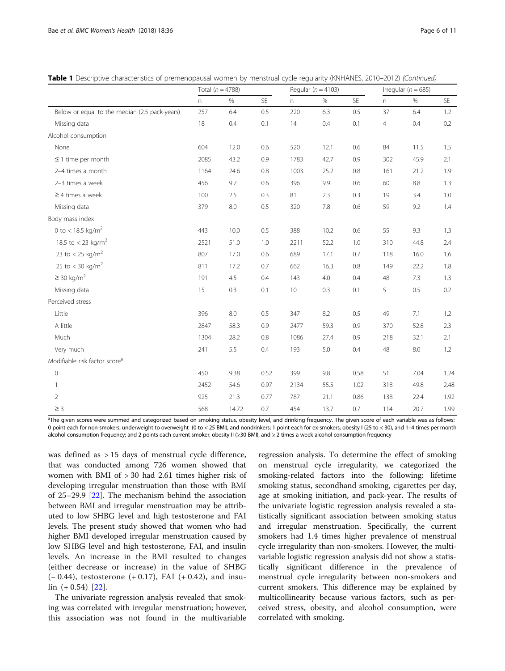| Table 1 Descriptive characteristics of premenopausal women by menstrual cycle regularity (KNHANES, 2010-2012) (Continued) |  |  |  |
|---------------------------------------------------------------------------------------------------------------------------|--|--|--|
|---------------------------------------------------------------------------------------------------------------------------|--|--|--|

|                                               | Total ( $n = 4788$ ) |       |      | Regular ( $n = 4103$ ) |      | Irregular ( $n = 685$ ) |     |         |      |
|-----------------------------------------------|----------------------|-------|------|------------------------|------|-------------------------|-----|---------|------|
|                                               | n                    | $\%$  | SE   | n                      | $\%$ | SE                      | n   | $\%$    | SE   |
| Below or equal to the median (2.5 pack-years) | 257                  | 6.4   | 0.5  | 220                    | 6.3  | 0.5                     | 37  | 6.4     | 1.2  |
| Missing data                                  | 18                   | 0.4   | 0.1  | 14                     | 0.4  | 0.1                     | 4   | 0.4     | 0.2  |
| Alcohol consumption                           |                      |       |      |                        |      |                         |     |         |      |
| None                                          | 604                  | 12.0  | 0.6  | 520                    | 12.1 | 0.6                     | 84  | 11.5    | 1.5  |
| $\leq$ 1 time per month                       | 2085                 | 43.2  | 0.9  | 1783                   | 42.7 | 0.9                     | 302 | 45.9    | 2.1  |
| 2-4 times a month                             | 1164                 | 24.6  | 0.8  | 1003                   | 25.2 | 0.8                     | 161 | 21.2    | 1.9  |
| 2-3 times a week                              | 456                  | 9.7   | 0.6  | 396                    | 9.9  | 0.6                     | 60  | $8.8\,$ | 1.3  |
| $\geq$ 4 times a week                         | 100                  | 2.5   | 0.3  | 81                     | 2.3  | 0.3                     | 19  | 3.4     | 1.0  |
| Missing data                                  | 379                  | 8.0   | 0.5  | 320                    | 7.8  | 0.6                     | 59  | 9.2     | 1.4  |
| Body mass index                               |                      |       |      |                        |      |                         |     |         |      |
| 0 to < 18.5 kg/m <sup>2</sup>                 | 443                  | 10.0  | 0.5  | 388                    | 10.2 | 0.6                     | 55  | 9.3     | 1.3  |
| 18.5 to < 23 kg/m <sup>2</sup>                | 2521                 | 51.0  | 1.0  | 2211                   | 52.2 | 1.0                     | 310 | 44.8    | 2.4  |
| 23 to $<$ 25 kg/m <sup>2</sup>                | 807                  | 17.0  | 0.6  | 689                    | 17.1 | 0.7                     | 118 | 16.0    | 1.6  |
| 25 to $<$ 30 kg/m <sup>2</sup>                | 811                  | 17.2  | 0.7  | 662                    | 16.3 | 0.8                     | 149 | 22.2    | 1.8  |
| $\geq$ 30 kg/m <sup>2</sup>                   | 191                  | 4.5   | 0.4  | 143                    | 4.0  | 0.4                     | 48  | 7.3     | 1.3  |
| Missing data                                  | 15                   | 0.3   | 0.1  | 10                     | 0.3  | 0.1                     | 5   | 0.5     | 0.2  |
| Perceived stress                              |                      |       |      |                        |      |                         |     |         |      |
| Little                                        | 396                  | 8.0   | 0.5  | 347                    | 8.2  | 0.5                     | 49  | 7.1     | 1.2  |
| A little                                      | 2847                 | 58.3  | 0.9  | 2477                   | 59.3 | 0.9                     | 370 | 52.8    | 2.3  |
| Much                                          | 1304                 | 28.2  | 0.8  | 1086                   | 27.4 | 0.9                     | 218 | 32.1    | 2.1  |
| Very much                                     | 241                  | 5.5   | 0.4  | 193                    | 5.0  | 0.4                     | 48  | 8.0     | 1.2  |
| Modifiable risk factor score <sup>a</sup>     |                      |       |      |                        |      |                         |     |         |      |
| $\mathbf 0$                                   | 450                  | 9.38  | 0.52 | 399                    | 9.8  | 0.58                    | 51  | 7.04    | 1.24 |
| 1                                             | 2452                 | 54.6  | 0.97 | 2134                   | 55.5 | 1.02                    | 318 | 49.8    | 2.48 |
| 2                                             | 925                  | 21.3  | 0.77 | 787                    | 21.1 | 0.86                    | 138 | 22.4    | 1.92 |
| $\geq$ 3                                      | 568                  | 14.72 | 0.7  | 454                    | 13.7 | 0.7                     | 114 | 20.7    | 1.99 |

<sup>a</sup>The given scores were summed and categorized based on smoking status, obesity level, and drinking frequency. The given score of each variable was as follows: 0 point each for non-smokers, underweight to overweight (0 to < 25 BMI), and nondrinkers; 1 point each for ex-smokers, obesity I (25 to < 30), and 1-4 times per month alcohol consumption frequency; and 2 points each current smoker, obesity II (≥30 BMI), and ≥ 2 times a week alcohol consumption frequency

was defined as > 15 days of menstrual cycle difference, that was conducted among 726 women showed that women with BMI of > 30 had 2.61 times higher risk of developing irregular menstruation than those with BMI of 25–29.9 [[22\]](#page-10-0). The mechanism behind the association between BMI and irregular menstruation may be attributed to low SHBG level and high testosterone and FAI levels. The present study showed that women who had higher BMI developed irregular menstruation caused by low SHBG level and high testosterone, FAI, and insulin levels. An increase in the BMI resulted to changes (either decrease or increase) in the value of SHBG (− 0.44), testosterone (+ 0.17), FAI (+ 0.42), and insu- $\ln (+0.54)$  [[22](#page-10-0)].

The univariate regression analysis revealed that smoking was correlated with irregular menstruation; however, this association was not found in the multivariable regression analysis. To determine the effect of smoking on menstrual cycle irregularity, we categorized the smoking-related factors into the following: lifetime smoking status, secondhand smoking, cigarettes per day, age at smoking initiation, and pack-year. The results of the univariate logistic regression analysis revealed a statistically significant association between smoking status and irregular menstruation. Specifically, the current smokers had 1.4 times higher prevalence of menstrual cycle irregularity than non-smokers. However, the multivariable logistic regression analysis did not show a statistically significant difference in the prevalence of menstrual cycle irregularity between non-smokers and current smokers. This difference may be explained by multicollinearity because various factors, such as perceived stress, obesity, and alcohol consumption, were correlated with smoking.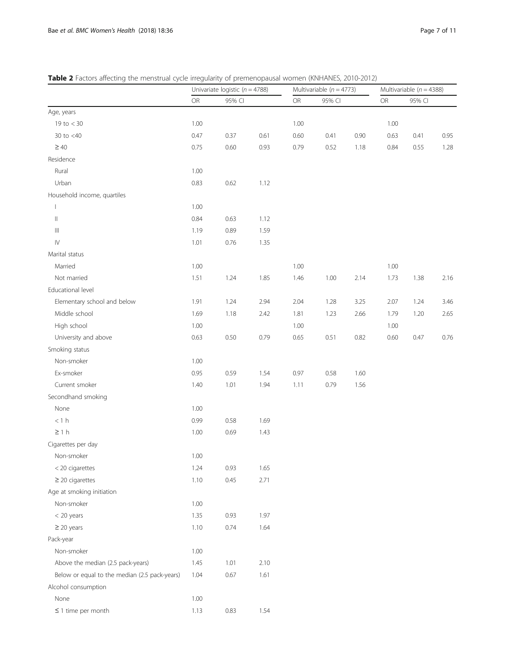<span id="page-6-0"></span>Table 2 Factors affecting the menstrual cycle irregularity of premenopausal women (KNHANES, 2010-2012)

|                                               | Univariate logistic ( $n = 4788$ ) |        |      |           | Multivariable ( $n = 4773$ ) |      | Multivariable ( $n = 4388$ ) |        |      |  |
|-----------------------------------------------|------------------------------------|--------|------|-----------|------------------------------|------|------------------------------|--------|------|--|
|                                               | OR                                 | 95% CI |      | <b>OR</b> | 95% CI                       |      | OR                           | 95% CI |      |  |
| Age, years                                    |                                    |        |      |           |                              |      |                              |        |      |  |
| 19 to $<$ 30                                  | 1.00                               |        |      | 1.00      |                              |      | 1.00                         |        |      |  |
| 30 to $<$ 40                                  | 0.47                               | 0.37   | 0.61 | 0.60      | 0.41                         | 0.90 | 0.63                         | 0.41   | 0.95 |  |
| $\geq 40$                                     | 0.75                               | 0.60   | 0.93 | 0.79      | 0.52                         | 1.18 | 0.84                         | 0.55   | 1.28 |  |
| Residence                                     |                                    |        |      |           |                              |      |                              |        |      |  |
| Rural                                         | 1.00                               |        |      |           |                              |      |                              |        |      |  |
| Urban                                         | 0.83                               | 0.62   | 1.12 |           |                              |      |                              |        |      |  |
| Household income, quartiles                   |                                    |        |      |           |                              |      |                              |        |      |  |
| $\mathbf{I}$                                  | 1.00                               |        |      |           |                              |      |                              |        |      |  |
| $\vert\vert$                                  | 0.84                               | 0.63   | 1.12 |           |                              |      |                              |        |      |  |
| $\  \ $                                       | 1.19                               | 0.89   | 1.59 |           |                              |      |                              |        |      |  |
| ${\sf IV}$                                    | 1.01                               | 0.76   | 1.35 |           |                              |      |                              |        |      |  |
| Marital status                                |                                    |        |      |           |                              |      |                              |        |      |  |
| Married                                       | 1.00                               |        |      | 1.00      |                              |      | 1.00                         |        |      |  |
| Not married                                   | 1.51                               | 1.24   | 1.85 | 1.46      | 1.00                         | 2.14 | 1.73                         | 1.38   | 2.16 |  |
| Educational level                             |                                    |        |      |           |                              |      |                              |        |      |  |
| Elementary school and below                   | 1.91                               | 1.24   | 2.94 | 2.04      | 1.28                         | 3.25 | 2.07                         | 1.24   | 3.46 |  |
| Middle school                                 | 1.69                               | 1.18   | 2.42 | 1.81      | 1.23                         | 2.66 | 1.79                         | 1.20   | 2.65 |  |
| High school                                   | 1.00                               |        |      | 1.00      |                              |      | 1.00                         |        |      |  |
| University and above                          | 0.63                               | 0.50   | 0.79 | 0.65      | 0.51                         | 0.82 | 0.60                         | 0.47   | 0.76 |  |
| Smoking status                                |                                    |        |      |           |                              |      |                              |        |      |  |
| Non-smoker                                    | 1.00                               |        |      |           |                              |      |                              |        |      |  |
| Ex-smoker                                     | 0.95                               | 0.59   | 1.54 | 0.97      | 0.58                         | 1.60 |                              |        |      |  |
| Current smoker                                | 1.40                               | 1.01   | 1.94 | 1.11      | 0.79                         | 1.56 |                              |        |      |  |
| Secondhand smoking                            |                                    |        |      |           |                              |      |                              |        |      |  |
| None                                          | 1.00                               |        |      |           |                              |      |                              |        |      |  |
| $<1\ \mathsf{h}$                              | 0.99                               | 0.58   | 1.69 |           |                              |      |                              |        |      |  |
| $\geq 1 h$                                    | 1.00                               | 0.69   | 1.43 |           |                              |      |                              |        |      |  |
| Cigarettes per day                            |                                    |        |      |           |                              |      |                              |        |      |  |
| Non-smoker                                    | 1.00                               |        |      |           |                              |      |                              |        |      |  |
| < 20 cigarettes                               | 1.24                               | 0.93   | 1.65 |           |                              |      |                              |        |      |  |
| $\geq$ 20 cigarettes                          | 1.10                               | 0.45   | 2.71 |           |                              |      |                              |        |      |  |
| Age at smoking initiation                     |                                    |        |      |           |                              |      |                              |        |      |  |
| Non-smoker                                    | 1.00                               |        |      |           |                              |      |                              |        |      |  |
| < 20 years                                    | 1.35                               | 0.93   | 1.97 |           |                              |      |                              |        |      |  |
| $\geq$ 20 years                               | 1.10                               | 0.74   | 1.64 |           |                              |      |                              |        |      |  |
| Pack-year                                     |                                    |        |      |           |                              |      |                              |        |      |  |
| Non-smoker                                    | 1.00                               |        |      |           |                              |      |                              |        |      |  |
| Above the median (2.5 pack-years)             | 1.45                               | 1.01   | 2.10 |           |                              |      |                              |        |      |  |
| Below or equal to the median (2.5 pack-years) | 1.04                               | 0.67   | 1.61 |           |                              |      |                              |        |      |  |
| Alcohol consumption                           |                                    |        |      |           |                              |      |                              |        |      |  |
| None                                          | 1.00                               |        |      |           |                              |      |                              |        |      |  |
| $\leq$ 1 time per month                       | 1.13                               | 0.83   | 1.54 |           |                              |      |                              |        |      |  |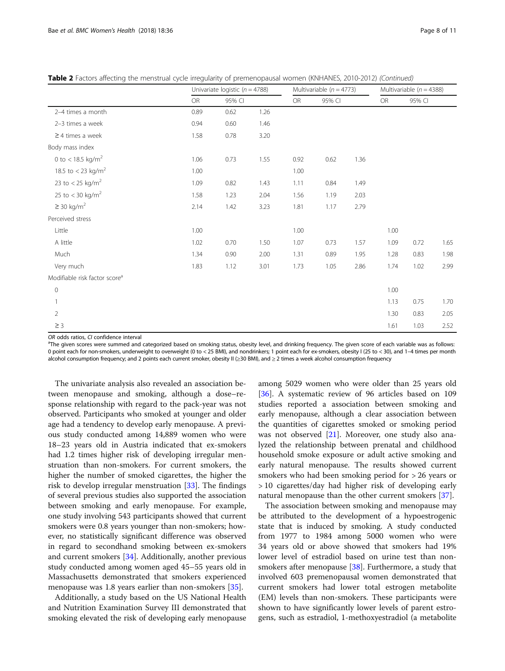Table 2 Factors affecting the menstrual cycle irregularity of premenopausal women (KNHANES, 2010-2012) (Continued)

|                                           | Univariate logistic ( $n = 4788$ ) |        |      |           | Multivariable ( $n = 4773$ ) |      | Multivariable ( $n = 4388$ ) |        |      |  |
|-------------------------------------------|------------------------------------|--------|------|-----------|------------------------------|------|------------------------------|--------|------|--|
|                                           | <b>OR</b>                          | 95% CI |      | <b>OR</b> | 95% CI                       |      | OR                           | 95% CI |      |  |
| 2-4 times a month                         | 0.89                               | 0.62   | 1.26 |           |                              |      |                              |        |      |  |
| 2-3 times a week                          | 0.94                               | 0.60   | 1.46 |           |                              |      |                              |        |      |  |
| $\geq$ 4 times a week                     | 1.58                               | 0.78   | 3.20 |           |                              |      |                              |        |      |  |
| Body mass index                           |                                    |        |      |           |                              |      |                              |        |      |  |
| 0 to < 18.5 kg/m <sup>2</sup>             | 1.06                               | 0.73   | 1.55 | 0.92      | 0.62                         | 1.36 |                              |        |      |  |
| 18.5 to < 23 kg/m <sup>2</sup>            | 1.00                               |        |      | 1.00      |                              |      |                              |        |      |  |
| 23 to < 25 kg/m <sup>2</sup>              | 1.09                               | 0.82   | 1.43 | 1.11      | 0.84                         | 1.49 |                              |        |      |  |
| 25 to $<$ 30 kg/m <sup>2</sup>            | 1.58                               | 1.23   | 2.04 | 1.56      | 1.19                         | 2.03 |                              |        |      |  |
| $\geq$ 30 kg/m <sup>2</sup>               | 2.14                               | 1.42   | 3.23 | 1.81      | 1.17                         | 2.79 |                              |        |      |  |
| Perceived stress                          |                                    |        |      |           |                              |      |                              |        |      |  |
| Little                                    | 1.00                               |        |      | 1.00      |                              |      | 1.00                         |        |      |  |
| A little                                  | 1.02                               | 0.70   | 1.50 | 1.07      | 0.73                         | 1.57 | 1.09                         | 0.72   | 1.65 |  |
| Much                                      | 1.34                               | 0.90   | 2.00 | 1.31      | 0.89                         | 1.95 | 1.28                         | 0.83   | 1.98 |  |
| Very much                                 | 1.83                               | 1.12   | 3.01 | 1.73      | 1.05                         | 2.86 | 1.74                         | 1.02   | 2.99 |  |
| Modifiable risk factor score <sup>a</sup> |                                    |        |      |           |                              |      |                              |        |      |  |
| $\mathsf{O}\xspace$                       |                                    |        |      |           |                              |      | 1.00                         |        |      |  |
|                                           |                                    |        |      |           |                              |      | 1.13                         | 0.75   | 1.70 |  |
| $\overline{2}$                            |                                    |        |      |           |                              |      | 1.30                         | 0.83   | 2.05 |  |
| $\geq$ 3                                  |                                    |        |      |           |                              |      | 1.61                         | 1.03   | 2.52 |  |

OR odds ratios, CI confidence interval

<sup>a</sup>The given scores were summed and categorized based on smoking status, obesity level, and drinking frequency. The given score of each variable was as follows: 0 point each for non-smokers, underweight to overweight (0 to < 25 BMI), and nondrinkers; 1 point each for ex-smokers, obesity I (25 to < 30), and 1–4 times per month alcohol consumption frequency; and 2 points each current smoker, obesity II (≥30 BMI), and ≥ 2 times a week alcohol consumption frequency

The univariate analysis also revealed an association between menopause and smoking, although a dose–response relationship with regard to the pack-year was not observed. Participants who smoked at younger and older age had a tendency to develop early menopause. A previous study conducted among 14,889 women who were 18–23 years old in Austria indicated that ex-smokers had 1.2 times higher risk of developing irregular menstruation than non-smokers. For current smokers, the higher the number of smoked cigarettes, the higher the risk to develop irregular menstruation [\[33](#page-10-0)]. The findings of several previous studies also supported the association between smoking and early menopause. For example, one study involving 543 participants showed that current smokers were 0.8 years younger than non-smokers; however, no statistically significant difference was observed in regard to secondhand smoking between ex-smokers and current smokers [[34\]](#page-10-0). Additionally, another previous study conducted among women aged 45–55 years old in Massachusetts demonstrated that smokers experienced menopause was 1.8 years earlier than non-smokers [[35\]](#page-10-0).

Additionally, a study based on the US National Health and Nutrition Examination Survey III demonstrated that smoking elevated the risk of developing early menopause

among 5029 women who were older than 25 years old [[36\]](#page-10-0). A systematic review of 96 articles based on 109 studies reported a association between smoking and early menopause, although a clear association between the quantities of cigarettes smoked or smoking period was not observed [[21](#page-10-0)]. Moreover, one study also analyzed the relationship between prenatal and childhood household smoke exposure or adult active smoking and early natural menopause. The results showed current smokers who had been smoking period for > 26 years or > 10 cigarettes/day had higher risk of developing early natural menopause than the other current smokers [\[37](#page-10-0)].

The association between smoking and menopause may be attributed to the development of a hypoestrogenic state that is induced by smoking. A study conducted from 1977 to 1984 among 5000 women who were 34 years old or above showed that smokers had 19% lower level of estradiol based on urine test than nonsmokers after menopause  $[38]$  $[38]$ . Furthermore, a study that involved 603 premenopausal women demonstrated that current smokers had lower total estrogen metabolite (EM) levels than non-smokers. These participants were shown to have significantly lower levels of parent estrogens, such as estradiol, 1-methoxyestradiol (a metabolite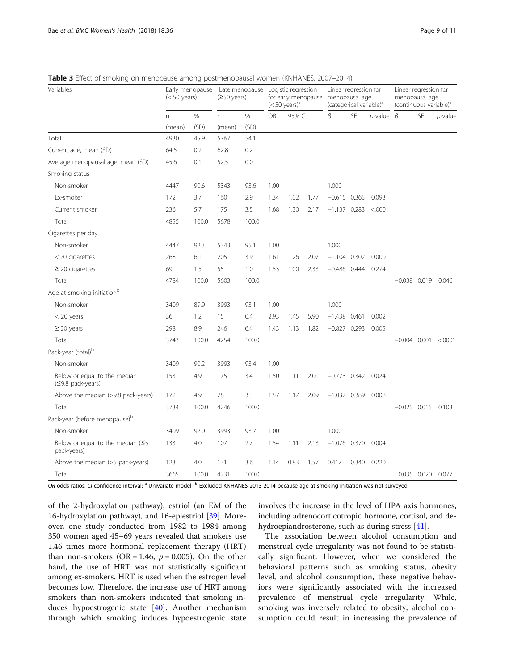<span id="page-8-0"></span>

|  |  | Table 3 Effect of smoking on menopause among postmenopausal women (KNHANES, 2007-2014) |  |
|--|--|----------------------------------------------------------------------------------------|--|
|--|--|----------------------------------------------------------------------------------------|--|

| Variables                                          | $(< 50$ years) | Early menopause | Late menopause<br>$(250 \text{ years})$ |       | Logistic regression<br>for early menopause menopausal age<br>$(< 50 \text{ years})^{\text{a}}$ |        | Linear regression for<br>(categorical variable) <sup>a</sup> |                |           | Linear regression for<br>menopausal age<br>(continuous variable) <sup>a</sup> |                       |                   |            |
|----------------------------------------------------|----------------|-----------------|-----------------------------------------|-------|------------------------------------------------------------------------------------------------|--------|--------------------------------------------------------------|----------------|-----------|-------------------------------------------------------------------------------|-----------------------|-------------------|------------|
|                                                    | n.             | $\%$            | n.                                      | $\%$  | <b>OR</b>                                                                                      | 95% CI |                                                              | β              | <b>SE</b> | $p$ -value $\beta$                                                            |                       | <b>SE</b>         | $p$ -value |
|                                                    | (mean)         | (SD)            | (mean)                                  | (SD)  |                                                                                                |        |                                                              |                |           |                                                                               |                       |                   |            |
| Total                                              | 4930           | 45.9            | 5767                                    | 54.1  |                                                                                                |        |                                                              |                |           |                                                                               |                       |                   |            |
| Current age, mean (SD)                             | 64.5           | 0.2             | 62.8                                    | 0.2   |                                                                                                |        |                                                              |                |           |                                                                               |                       |                   |            |
| Average menopausal age, mean (SD)                  | 45.6           | 0.1             | 52.5                                    | 0.0   |                                                                                                |        |                                                              |                |           |                                                                               |                       |                   |            |
| Smoking status                                     |                |                 |                                         |       |                                                                                                |        |                                                              |                |           |                                                                               |                       |                   |            |
| Non-smoker                                         | 4447           | 90.6            | 5343                                    | 93.6  | 1.00                                                                                           |        |                                                              | 1.000          |           |                                                                               |                       |                   |            |
| Ex-smoker                                          | 172            | 3.7             | 160                                     | 2.9   | 1.34                                                                                           | 1.02   | 1.77                                                         | $-0.615$ 0.365 |           | 0.093                                                                         |                       |                   |            |
| Current smoker                                     | 236            | 5.7             | 175                                     | 3.5   | 1.68                                                                                           | 1.30   | 2.17                                                         | $-1.137$ 0.283 |           | < .0001                                                                       |                       |                   |            |
| Total                                              | 4855           | 100.0           | 5678                                    | 100.0 |                                                                                                |        |                                                              |                |           |                                                                               |                       |                   |            |
| Cigarettes per day                                 |                |                 |                                         |       |                                                                                                |        |                                                              |                |           |                                                                               |                       |                   |            |
| Non-smoker                                         | 4447           | 92.3            | 5343                                    | 95.1  | 1.00                                                                                           |        |                                                              | 1.000          |           |                                                                               |                       |                   |            |
| < 20 cigarettes                                    | 268            | 6.1             | 205                                     | 3.9   | 1.61                                                                                           | 1.26   | 2.07                                                         | $-1.104$ 0.302 |           | 0.000                                                                         |                       |                   |            |
| $\geq$ 20 cigarettes                               | 69             | 1.5             | 55                                      | 1.0   | 1.53                                                                                           | 1.00   | 2.33                                                         | $-0.486$ 0.444 |           | 0.274                                                                         |                       |                   |            |
| Total                                              | 4784           | 100.0           | 5603                                    | 100.0 |                                                                                                |        |                                                              |                |           |                                                                               | $-0.038$ 0.019 0.046  |                   |            |
| Age at smoking initiation <sup>b</sup>             |                |                 |                                         |       |                                                                                                |        |                                                              |                |           |                                                                               |                       |                   |            |
| Non-smoker                                         | 3409           | 89.9            | 3993                                    | 93.1  | 1.00                                                                                           |        |                                                              | 1.000          |           |                                                                               |                       |                   |            |
| $<$ 20 years                                       | 36             | 1.2             | 15                                      | 0.4   | 2.93                                                                                           | 1.45   | 5.90                                                         | $-1.438$ 0.461 |           | 0.002                                                                         |                       |                   |            |
| $\geq$ 20 years                                    | 298            | 8.9             | 246                                     | 6.4   | 1.43                                                                                           | 1.13   | 1.82                                                         | $-0.827$ 0.293 |           | 0.005                                                                         |                       |                   |            |
| Total                                              | 3743           | 100.0           | 4254                                    | 100.0 |                                                                                                |        |                                                              |                |           |                                                                               | $-0.004$ 0.001 <.0001 |                   |            |
| Pack-year (total) <sup>b</sup>                     |                |                 |                                         |       |                                                                                                |        |                                                              |                |           |                                                                               |                       |                   |            |
| Non-smoker                                         | 3409           | 90.2            | 3993                                    | 93.4  | 1.00                                                                                           |        |                                                              |                |           |                                                                               |                       |                   |            |
| Below or equal to the median<br>(≤9.8 pack-years)  | 153            | 4.9             | 175                                     | 3.4   | 1.50                                                                                           | 1.11   | 2.01                                                         | $-0.773$ 0.342 |           | 0.024                                                                         |                       |                   |            |
| Above the median (>9.8 pack-years)                 | 172            | 4.9             | 78                                      | 3.3   | 1.57                                                                                           | 1.17   | 2.09                                                         | $-1.037$ 0.389 |           | 0.008                                                                         |                       |                   |            |
| Total                                              | 3734           | 100.0           | 4246                                    | 100.0 |                                                                                                |        |                                                              |                |           |                                                                               | $-0.025$ 0.015 0.103  |                   |            |
| Pack-year (before menopause) <sup>b</sup>          |                |                 |                                         |       |                                                                                                |        |                                                              |                |           |                                                                               |                       |                   |            |
| Non-smoker                                         | 3409           | 92.0            | 3993                                    | 93.7  | 1.00                                                                                           |        |                                                              | 1.000          |           |                                                                               |                       |                   |            |
| Below or equal to the median $(55)$<br>pack-years) | 133            | 4.0             | 107                                     | 2.7   | 1.54                                                                                           | 1.11   | 2.13                                                         | $-1.076$ 0.370 |           | 0.004                                                                         |                       |                   |            |
| Above the median (>5 pack-years)                   | 123            | 4.0             | 131                                     | 3.6   | 1.14                                                                                           | 0.83   | 1.57                                                         | 0.417          |           | 0.340 0.220                                                                   |                       |                   |            |
| Total                                              | 3665           | 100.0           | 4231                                    | 100.0 |                                                                                                |        |                                                              |                |           |                                                                               |                       | 0.035 0.020 0.077 |            |

OR odds ratios, CI confidence interval; <sup>a</sup> Univariate model <sup>b</sup> Excluded KNHANES 2013-2014 because age at smoking initiation was not surveyed

of the 2-hydroxylation pathway), estriol (an EM of the 16-hydroxylation pathway), and 16-epiestriol [[39](#page-10-0)]. Moreover, one study conducted from 1982 to 1984 among 350 women aged 45–69 years revealed that smokers use 1.46 times more hormonal replacement therapy (HRT) than non-smokers (OR = 1.46,  $p = 0.005$ ). On the other hand, the use of HRT was not statistically significant among ex-smokers. HRT is used when the estrogen level becomes low. Therefore, the increase use of HRT among smokers than non-smokers indicated that smoking induces hypoestrogenic state [\[40](#page-10-0)]. Another mechanism through which smoking induces hypoestrogenic state

involves the increase in the level of HPA axis hormones, including adrenocorticotropic hormone, cortisol, and dehydroepiandrosterone, such as during stress [\[41\]](#page-10-0).

The association between alcohol consumption and menstrual cycle irregularity was not found to be statistically significant. However, when we considered the behavioral patterns such as smoking status, obesity level, and alcohol consumption, these negative behaviors were significantly associated with the increased prevalence of menstrual cycle irregularity. While, smoking was inversely related to obesity, alcohol consumption could result in increasing the prevalence of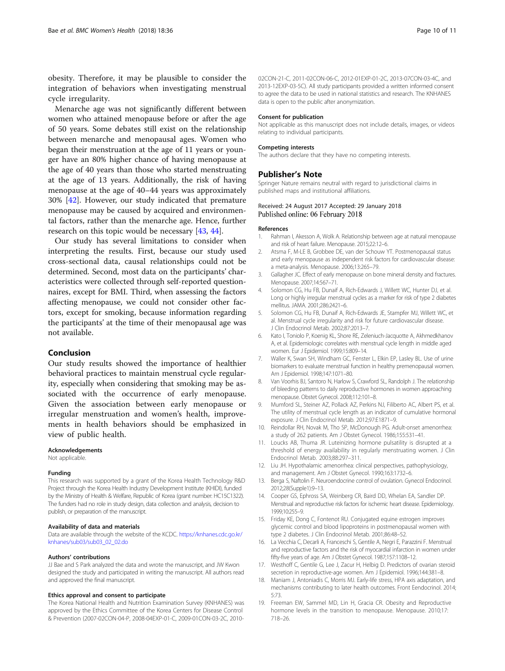<span id="page-9-0"></span>obesity. Therefore, it may be plausible to consider the integration of behaviors when investigating menstrual cycle irregularity.

Menarche age was not significantly different between women who attained menopause before or after the age of 50 years. Some debates still exist on the relationship between menarche and menopausal ages. Women who began their menstruation at the age of 11 years or younger have an 80% higher chance of having menopause at the age of 40 years than those who started menstruating at the age of 13 years. Additionally, the risk of having menopause at the age of 40–44 years was approximately 30% [[42](#page-10-0)]. However, our study indicated that premature menopause may be caused by acquired and environmental factors, rather than the menarche age. Hence, further research on this topic would be necessary [[43](#page-10-0), [44](#page-10-0)].

Our study has several limitations to consider when interpreting the results. First, because our study used cross-sectional data, causal relationships could not be determined. Second, most data on the participants' characteristics were collected through self-reported questionnaires, except for BMI. Third, when assessing the factors affecting menopause, we could not consider other factors, except for smoking, because information regarding the participants' at the time of their menopausal age was not available.

#### Conclusion

Our study results showed the importance of healthier behavioral practices to maintain menstrual cycle regularity, especially when considering that smoking may be associated with the occurrence of early menopause. Given the association between early menopause or irregular menstruation and women's health, improvements in health behaviors should be emphasized in view of public health.

#### Acknowledgements

Not applicable.

#### Funding

This research was supported by a grant of the Korea Health Technology R&D Project through the Korea Health Industry Development Institute (KHIDI), funded by the Ministry of Health & Welfare, Republic of Korea (grant number: HC15C1322). The funders had no role in study design, data collection and analysis, decision to publish, or preparation of the manuscript.

#### Availability of data and materials

Data are available through the website of the KCDC. [https://knhanes.cdc.go.kr/](https://knhanes.cdc.go.kr/knhanes/sub03/sub03_02_02.do) [knhanes/sub03/sub03\\_02\\_02.do](https://knhanes.cdc.go.kr/knhanes/sub03/sub03_02_02.do)

#### Authors' contributions

JJ Bae and S Park analyzed the data and wrote the manuscript, and JW Kwon designed the study and participated in writing the manuscript. All authors read and approved the final manuscript.

#### Ethics approval and consent to participate

The Korea National Health and Nutrition Examination Survey (KNHANES) was approved by the Ethics Committee of the Korea Centers for Disease Control & Prevention (2007-02CON-04-P, 2008-04EXP-01-C, 2009-01CON-03-2C, 201002CON-21-C, 2011-02CON-06-C, 2012-01EXP-01-2C, 2013-07CON-03-4C, and 2013-12EXP-03-5C). All study participants provided a written informed consent to agree the data to be used in national statistics and research. The KNHANES data is open to the public after anonymization.

#### Consent for publication

Not applicable as this manuscript does not include details, images, or videos relating to individual participants.

#### Competing interests

The authors declare that they have no competing interests.

#### Publisher's Note

Springer Nature remains neutral with regard to jurisdictional claims in published maps and institutional affiliations.

#### Received: 24 August 2017 Accepted: 29 January 2018 Published online: 06 February 2018

#### References

- Rahman I, Akesson A, Wolk A. Relationship between age at natural menopause and risk of heart failure. Menopause. 2015;22:12–6.
- 2. Atsma F, M-LE B, Grobbee DE, van der Schouw YT. Postmenopausal status and early menopause as independent risk factors for cardiovascular disease: a meta-analysis. Menopause. 2006;13:265–79.
- 3. Gallagher JC. Effect of early menopause on bone mineral density and fractures. Menopause. 2007;14:567–71.
- 4. Solomon CG, Hu FB, Dunaif A, Rich-Edwards J, Willett WC, Hunter DJ, et al. Long or highly irregular menstrual cycles as a marker for risk of type 2 diabetes mellitus. JAMA. 2001;286:2421–6.
- 5. Solomon CG, Hu FB, Dunaif A, Rich-Edwards JE, Stampfer MJ, Willett WC, et al. Menstrual cycle irregularity and risk for future cardiovascular disease. J Clin Endocrinol Metab. 2002;87:2013–7.
- 6. Kato I, Toniolo P, Koenig KL, Shore RE, Zeleniuch-Jacquotte A, Akhmedkhanov A, et al. Epidemiologic correlates with menstrual cycle length in middle aged women. Eur J Epidemiol. 1999;15:809–14.
- 7. Waller K, Swan SH, Windham GC, Fenster L, Elkin EP, Lasley BL. Use of urine biomarkers to evaluate menstrual function in healthy premenopausal women. Am J Epidemiol. 1998;147:1071–80.
- 8. Van Voorhis BJ, Santoro N, Harlow S, Crawford SL, Randolph J. The relationship of bleeding patterns to daily reproductive hormones in women approaching menopause. Obstet Gynecol. 2008;112:101–8.
- 9. Mumford SL, Steiner AZ, Pollack AZ, Perkins NJ, Filiberto AC, Albert PS, et al. The utility of menstrual cycle length as an indicator of cumulative hormonal exposure. J Clin Endocrinol Metab. 2012;97:E1871–9.
- 10. Reindollar RH, Novak M, Tho SP, McDonough PG. Adult-onset amenorrhea: a study of 262 patients. Am J Obstet Gynecol. 1986;155:531–41.
- 11. Loucks AB, Thuma JR. Luteinizing hormone pulsatility is disrupted at a threshold of energy availability in regularly menstruating women. J Clin Endocrinol Metab. 2003;88:297–311.
- 12. Liu JH. Hypothalamic amenorrhea: clinical perspectives, pathophysiology, and management. Am J Obstet Gynecol. 1990;163:1732–6.
- 13. Berga S, Naftolin F. Neuroendocrine control of ovulation. Gynecol Endocrinol. 2012;28(Supple1):9–13.
- 14. Cooper GS, Ephross SA, Weinberg CR, Baird DD, Whelan EA, Sandler DP. Menstrual and reproductive risk factors for ischemic heart disease. Epidemiology. 1999;10:255–9.
- 15. Friday KE, Dong C, Fontenot RU. Conjugated equine estrogen improves glycemic control and blood lipoproteins in postmenopausal women with type 2 diabetes. J Clin Endocrinol Metab. 2001;86:48–52.
- 16. La Vecchia C, Decarli A, Franceschi S, Gentile A, Negri E, Parazzini F. Menstrual and reproductive factors and the risk of myocardial infarction in women under fifty-five years of age. Am J Obstet Gynecol. 1987;157:1108–12.
- 17. Westhoff C, Gentile G, Lee J, Zacur H, Helbig D. Predictors of ovarian steroid secretion in reproductive-age women. Am J Epidemiol. 1996;144:381–8.
- 18. Maniam J, Antoniadis C, Morris MJ. Early-life stress, HPA axis adaptation, and mechanisms contributing to later health outcomes. Front Eendocrinol. 2014; 5:73.
- 19. Freeman EW, Sammel MD, Lin H, Gracia CR. Obesity and Reproductive hormone levels in the transition to menopause. Menopause. 2010;17: 718–26.